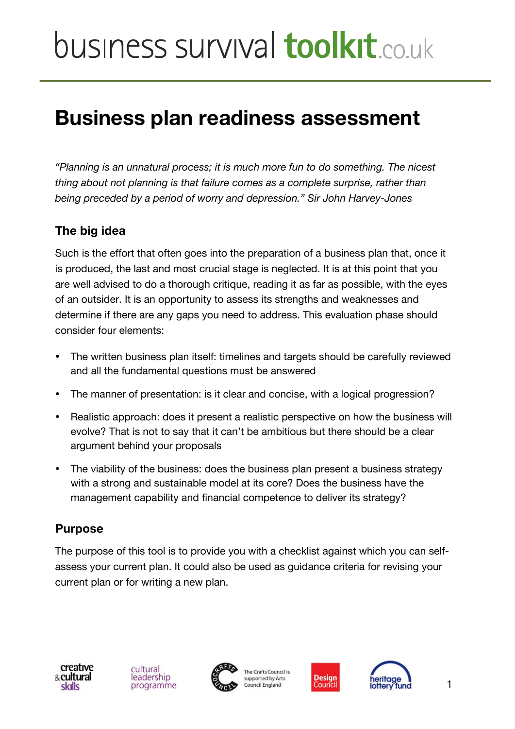# **Business plan readiness assessment**

*"Planning is an unnatural process; it is much more fun to do something. The nicest thing about not planning is that failure comes as a complete surprise, rather than being preceded by a period of worry and depression." Sir John Harvey-Jones*

### **The big idea**

Such is the effort that often goes into the preparation of a business plan that, once it is produced, the last and most crucial stage is neglected. It is at this point that you are well advised to do a thorough critique, reading it as far as possible, with the eyes of an outsider. It is an opportunity to assess its strengths and weaknesses and determine if there are any gaps you need to address. This evaluation phase should consider four elements:

- The written business plan itself: timelines and targets should be carefully reviewed and all the fundamental questions must be answered
- The manner of presentation: is it clear and concise, with a logical progression?
- Realistic approach: does it present a realistic perspective on how the business will evolve? That is not to say that it can't be ambitious but there should be a clear argument behind your proposals
- The viability of the business: does the business plan present a business strategy with a strong and sustainable model at its core? Does the business have the management capability and financial competence to deliver its strategy?

### **Purpose**

The purpose of this tool is to provide you with a checklist against which you can selfassess your current plan. It could also be used as guidance criteria for revising your current plan or for writing a new plan.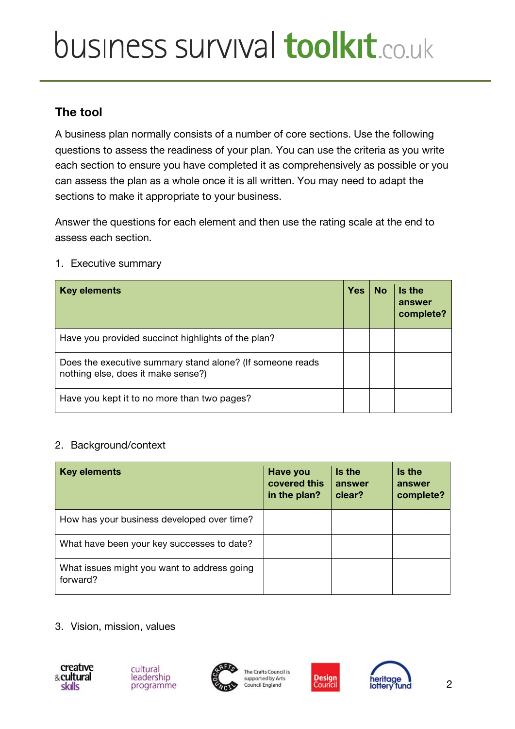### **The tool**

A business plan normally consists of a number of core sections. Use the following questions to assess the readiness of your plan. You can use the criteria as you write each section to ensure you have completed it as comprehensively as possible or you can assess the plan as a whole once it is all written. You may need to adapt the sections to make it appropriate to your business.

Answer the questions for each element and then use the rating scale at the end to assess each section.

#### 1. Executive summary

| <b>Key elements</b>                                                                             | <b>Yes</b> | <b>No</b> | Is the<br>answer<br>complete? |
|-------------------------------------------------------------------------------------------------|------------|-----------|-------------------------------|
| Have you provided succinct highlights of the plan?                                              |            |           |                               |
| Does the executive summary stand alone? (If someone reads<br>nothing else, does it make sense?) |            |           |                               |
| Have you kept it to no more than two pages?                                                     |            |           |                               |

#### 2. Background/context

| <b>Key elements</b>                                     | Have you<br>covered this<br>in the plan? | Is the<br>answer<br>clear? | Is the<br>answer<br>complete? |
|---------------------------------------------------------|------------------------------------------|----------------------------|-------------------------------|
| How has your business developed over time?              |                                          |                            |                               |
| What have been your key successes to date?              |                                          |                            |                               |
| What issues might you want to address going<br>forward? |                                          |                            |                               |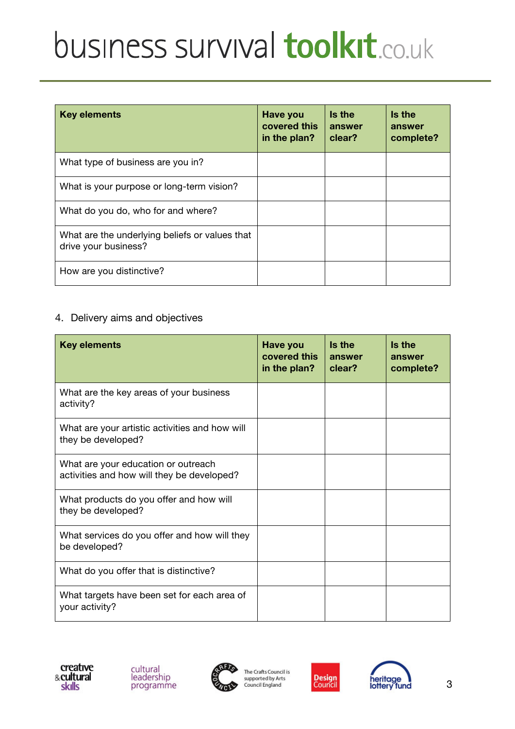| <b>Key elements</b>                                                    | <b>Have you</b><br>covered this<br>in the plan? | Is the<br>answer<br>clear? | Is the<br>answer<br>complete? |
|------------------------------------------------------------------------|-------------------------------------------------|----------------------------|-------------------------------|
| What type of business are you in?                                      |                                                 |                            |                               |
| What is your purpose or long-term vision?                              |                                                 |                            |                               |
| What do you do, who for and where?                                     |                                                 |                            |                               |
| What are the underlying beliefs or values that<br>drive your business? |                                                 |                            |                               |
| How are you distinctive?                                               |                                                 |                            |                               |

### 4. Delivery aims and objectives

| <b>Key elements</b>                                                               | Have you<br>covered this<br>in the plan? | Is the<br>answer<br>clear? | Is the<br>answer<br>complete? |
|-----------------------------------------------------------------------------------|------------------------------------------|----------------------------|-------------------------------|
| What are the key areas of your business<br>activity?                              |                                          |                            |                               |
| What are your artistic activities and how will<br>they be developed?              |                                          |                            |                               |
| What are your education or outreach<br>activities and how will they be developed? |                                          |                            |                               |
| What products do you offer and how will<br>they be developed?                     |                                          |                            |                               |
| What services do you offer and how will they<br>be developed?                     |                                          |                            |                               |
| What do you offer that is distinctive?                                            |                                          |                            |                               |
| What targets have been set for each area of<br>your activity?                     |                                          |                            |                               |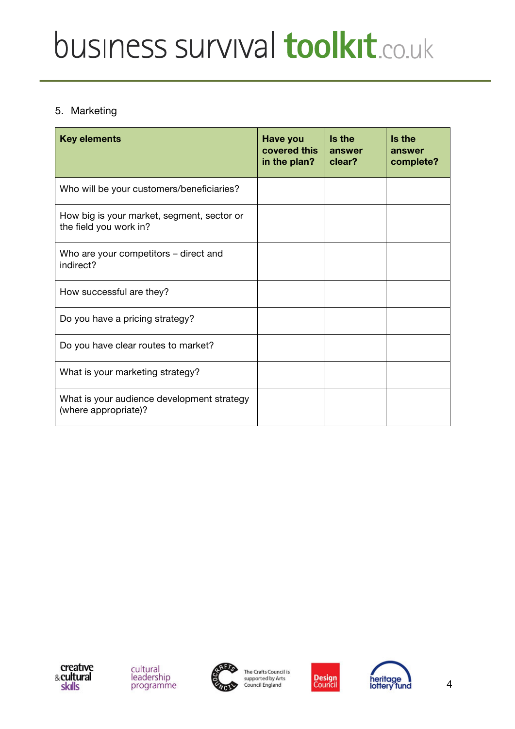#### 5. Marketing

| <b>Key elements</b>                                                  | Have you<br>covered this<br>in the plan? | Is the<br>answer<br>clear? | Is the<br>answer<br>complete? |
|----------------------------------------------------------------------|------------------------------------------|----------------------------|-------------------------------|
| Who will be your customers/beneficiaries?                            |                                          |                            |                               |
| How big is your market, segment, sector or<br>the field you work in? |                                          |                            |                               |
| Who are your competitors – direct and<br>indirect?                   |                                          |                            |                               |
| How successful are they?                                             |                                          |                            |                               |
| Do you have a pricing strategy?                                      |                                          |                            |                               |
| Do you have clear routes to market?                                  |                                          |                            |                               |
| What is your marketing strategy?                                     |                                          |                            |                               |
| What is your audience development strategy<br>(where appropriate)?   |                                          |                            |                               |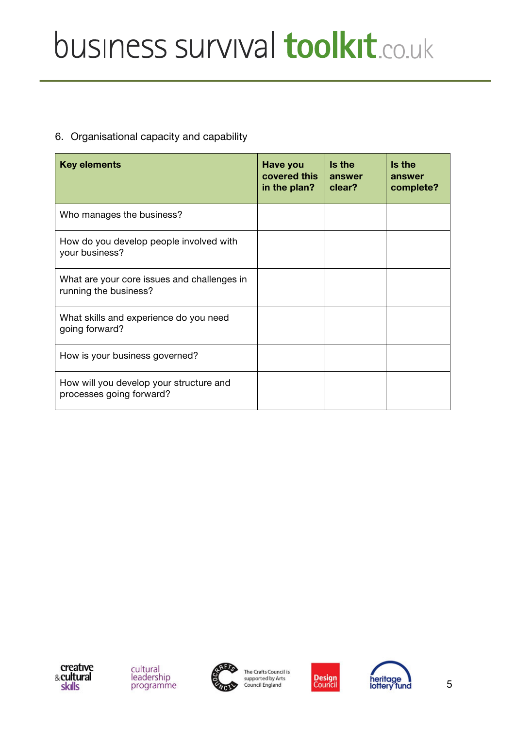# 6. Organisational capacity and capability

| <b>Key elements</b>                                                  | Have you<br>covered this<br>in the plan? | Is the<br>answer<br>clear? | Is the<br>answer<br>complete? |
|----------------------------------------------------------------------|------------------------------------------|----------------------------|-------------------------------|
| Who manages the business?                                            |                                          |                            |                               |
| How do you develop people involved with<br>your business?            |                                          |                            |                               |
| What are your core issues and challenges in<br>running the business? |                                          |                            |                               |
| What skills and experience do you need<br>going forward?             |                                          |                            |                               |
| How is your business governed?                                       |                                          |                            |                               |
| How will you develop your structure and<br>processes going forward?  |                                          |                            |                               |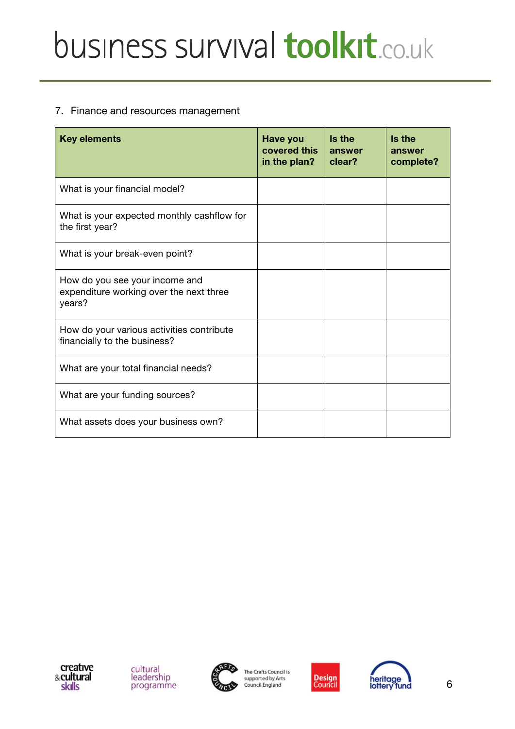#### 7. Finance and resources management

| <b>Key elements</b>                                                                 | Have you<br>covered this<br>in the plan? | Is the<br>answer<br>clear? | Is the<br>answer<br>complete? |
|-------------------------------------------------------------------------------------|------------------------------------------|----------------------------|-------------------------------|
| What is your financial model?                                                       |                                          |                            |                               |
| What is your expected monthly cashflow for<br>the first year?                       |                                          |                            |                               |
| What is your break-even point?                                                      |                                          |                            |                               |
| How do you see your income and<br>expenditure working over the next three<br>years? |                                          |                            |                               |
| How do your various activities contribute<br>financially to the business?           |                                          |                            |                               |
| What are your total financial needs?                                                |                                          |                            |                               |
| What are your funding sources?                                                      |                                          |                            |                               |
| What assets does your business own?                                                 |                                          |                            |                               |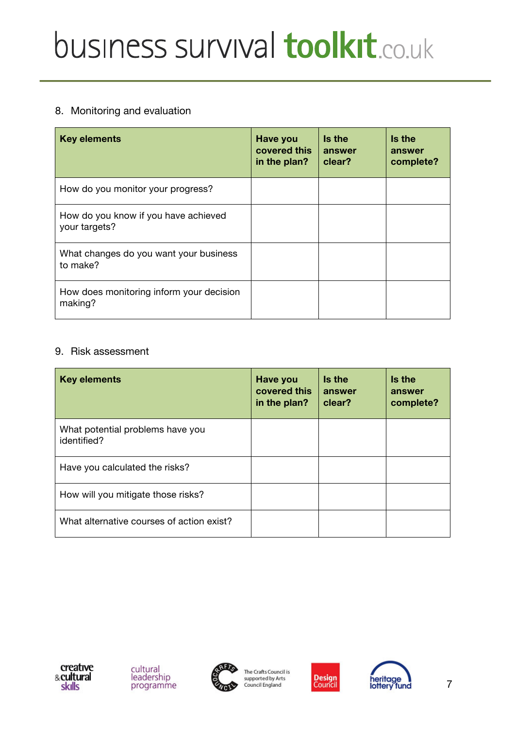# 8. Monitoring and evaluation

| <b>Key elements</b>                                   | Have you<br>covered this<br>in the plan? | Is the<br>answer<br>clear? | Is the<br>answer<br>complete? |
|-------------------------------------------------------|------------------------------------------|----------------------------|-------------------------------|
| How do you monitor your progress?                     |                                          |                            |                               |
| How do you know if you have achieved<br>your targets? |                                          |                            |                               |
| What changes do you want your business<br>to make?    |                                          |                            |                               |
| How does monitoring inform your decision<br>making?   |                                          |                            |                               |

#### 9. Risk assessment

| <b>Key elements</b>                             | Have you<br>covered this<br>in the plan? | Is the<br>answer<br>clear? | Is the<br>answer<br>complete? |
|-------------------------------------------------|------------------------------------------|----------------------------|-------------------------------|
| What potential problems have you<br>identified? |                                          |                            |                               |
| Have you calculated the risks?                  |                                          |                            |                               |
| How will you mitigate those risks?              |                                          |                            |                               |
| What alternative courses of action exist?       |                                          |                            |                               |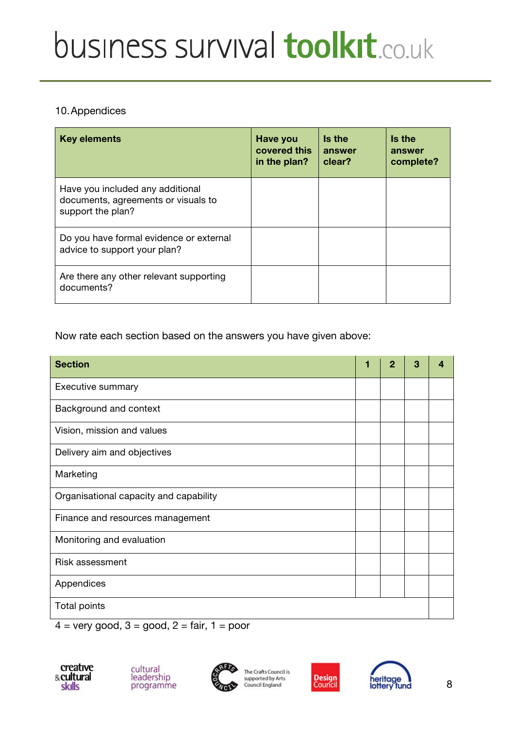#### 10.Appendices

| <b>Key elements</b>                                                                          | Have you<br>covered this<br>in the plan? | Is the<br>answer<br>clear? | Is the<br>answer<br>complete? |
|----------------------------------------------------------------------------------------------|------------------------------------------|----------------------------|-------------------------------|
| Have you included any additional<br>documents, agreements or visuals to<br>support the plan? |                                          |                            |                               |
| Do you have formal evidence or external<br>advice to support your plan?                      |                                          |                            |                               |
| Are there any other relevant supporting<br>documents?                                        |                                          |                            |                               |

Now rate each section based on the answers you have given above:

| <b>Section</b>                         | 1 | 2 | 3 | Δ |
|----------------------------------------|---|---|---|---|
| Executive summary                      |   |   |   |   |
| Background and context                 |   |   |   |   |
| Vision, mission and values             |   |   |   |   |
| Delivery aim and objectives            |   |   |   |   |
| Marketing                              |   |   |   |   |
| Organisational capacity and capability |   |   |   |   |
| Finance and resources management       |   |   |   |   |
| Monitoring and evaluation              |   |   |   |   |
| <b>Risk assessment</b>                 |   |   |   |   |
| Appendices                             |   |   |   |   |
| Total points                           |   |   |   |   |

 $4 = very good, 3 = good, 2 = fair, 1 = poor$